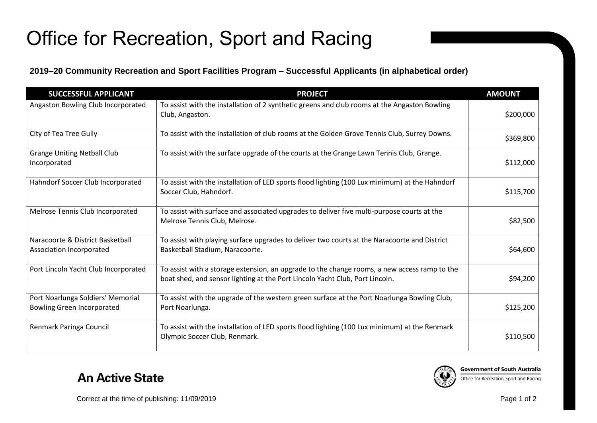## Office for Recreation, Sport and Racing

## **2019–20 Community Recreation and Sport Facilities Program – Successful Applicants (in alphabetical order)**

| <b>SUCCESSFUL APPLICANT</b>                                            | <b>PROJECT</b>                                                                                                                                                               | <b>AMOUNT</b> |
|------------------------------------------------------------------------|------------------------------------------------------------------------------------------------------------------------------------------------------------------------------|---------------|
| Angaston Bowling Club Incorporated                                     | To assist with the installation of 2 synthetic greens and club rooms at the Angaston Bowling<br>Club, Angaston.                                                              | \$200,000     |
| City of Tea Tree Gully                                                 | To assist with the installation of club rooms at the Golden Grove Tennis Club, Surrey Downs.                                                                                 | \$369,800     |
| <b>Grange Uniting Netball Club</b><br>Incorporated                     | To assist with the surface upgrade of the courts at the Grange Lawn Tennis Club, Grange.                                                                                     | \$112,000     |
| Hahndorf Soccer Club Incorporated                                      | To assist with the installation of LED sports flood lighting (100 Lux minimum) at the Hahndorf<br>Soccer Club, Hahndorf.                                                     | \$115,700     |
| Melrose Tennis Club Incorporated                                       | To assist with surface and associated upgrades to deliver five multi-purpose courts at the<br>Melrose Tennis Club, Melrose.                                                  | \$82,500      |
| Naracoorte & District Basketball<br>Association Incorporated           | To assist with playing surface upgrades to deliver two courts at the Naracoorte and District<br>Basketball Stadium, Naracoorte.                                              | \$64,600      |
| Port Lincoln Yacht Club Incorporated                                   | To assist with a storage extension, an upgrade to the change rooms, a new access ramp to the<br>boat shed, and sensor lighting at the Port Lincoln Yacht Club, Port Lincoln. | \$94,200      |
| Port Noarlunga Soldiers' Memorial<br><b>Bowling Green Incorporated</b> | To assist with the upgrade of the western green surface at the Port Noarlunga Bowling Club,<br>Port Noarlunga.                                                               | \$125,200     |
| Renmark Paringa Council                                                | To assist with the installation of LED sports flood lighting (100 Lux minimum) at the Renmark<br>Olympic Soccer Club, Renmark.                                               | \$110,500     |



**Government of South Australia** 

Office for Recreation, Sport and Racing

Correct at the time of publishing: 11/09/2019 Page 1 of 2

**An Active State**